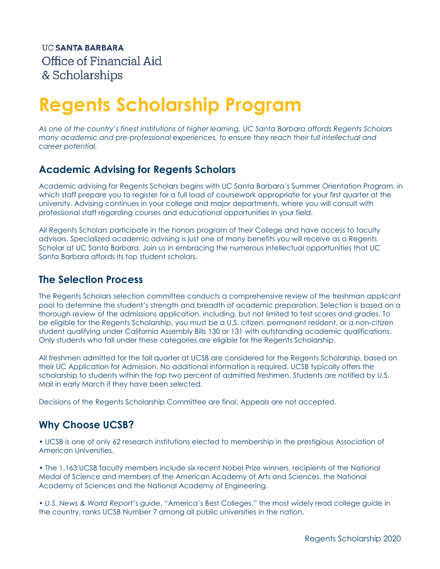# **Regents Scholarship Program**

*As one of the country's finest institutions of higher learning, UC Santa Barbara affords Regents Scholars many academic and pre-professional experiences, to ensure they reach their full intellectual and career potential.*

# **Academic Advising for Regents Scholars**

Academic advising for Regents Scholars begins with UC Santa Barbara's Summer Orientation Program, in which staff prepare you to register for a full load of coursework appropriate for your first quarter at the university. Advising continues in your college and major departments, where you will consult with professional staff regarding courses and educational opportunities in your field.

All Regents Scholars participate in the honors program of their College and have access to faculty advisors. Specialized academic advising is just one of many benefits you will receive as a Regents Scholar at UC Santa Barbara. Join us in embracing the numerous intellectual opportunities that UC Santa Barbara affords its top student scholars.

## **The Selection Process**

The Regents Scholars selection committee conducts a comprehensive review of the freshman applicant pool to determine the student's strength and breadth of academic preparation. Selection is based on a thorough review of the admissions application, including, but not limited to test scores and grades. To be eligible for the Regents Scholarship, you must be a U.S. citizen, permanent resident, or a non-citizen student qualifying under California Assembly Bills 130 or 131 with outstanding academic qualifications. Only students who fall under these categories are eligible for the Regents Scholarship.

All freshmen admitted for the fall quarter at UCSB are considered for the Regents Scholarship, based on their UC Application for Admission. No additional information is required. UCSB typically offers the scholarship to students within the top two percent of admitted freshmen. Students are notified by U.S. Mail in early March if they have been selected.

Decisions of the Regents Scholarship Committee are final. Appeals are not accepted.

# **Why Choose UCSB?**

• UCSB is one of only 62 research institutions elected to membership in the prestigious Association of American Universities.

• The 1,163 UCSB faculty members include six recent Nobel Prize winners, recipients of the National Medal of Science and members of the American Academy of Arts and Sciences, the National Academy of Sciences and the National Academy of Engineering.

• *U.S. News & World Report*'s guide, "America's Best Colleges," the most widely read college guide in the country, ranks UCSB Number 7 among all public universities in the nation.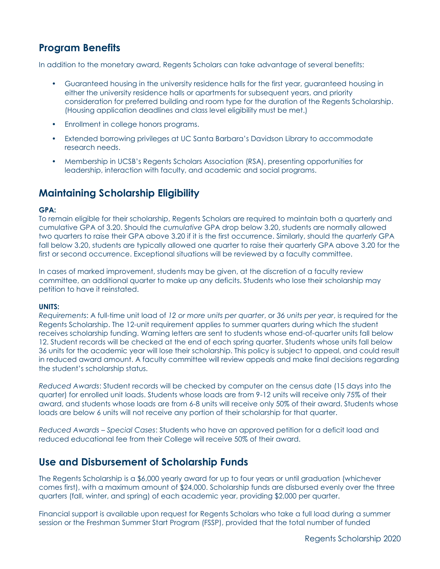# **Program Benefits**

In addition to the monetary award, Regents Scholars can take advantage of several benefits:

- Guaranteed housing in the university residence halls for the first year, guaranteed housing in either the university residence halls or apartments for subsequent years, and priority consideration for preferred building and room type for the duration of the Regents Scholarship. (Housing application deadlines and class level eligibility must be met.)
- Enrollment in college honors programs.
- Extended borrowing privileges at UC Santa Barbara's Davidson Library to accommodate research needs.
- Membership in UCSB's Regents Scholars Association (RSA), presenting opportunities for leadership, interaction with faculty, and academic and social programs.

# **Maintaining Scholarship Eligibility**

### **GPA:**

To remain eligible for their scholarship, Regents Scholars are required to maintain both a quarterly and cumulative GPA of 3.20. Should the *cumulative* GPA drop below 3.20, students are normally allowed two quarters to raise their GPA above 3.20 if it is the first occurrence. Similarly, should the *quarterly* GPA fall below 3.20, students are typically allowed one quarter to raise their quarterly GPA above 3.20 for the first or second occurrence. Exceptional situations will be reviewed by a faculty committee.

In cases of marked improvement, students may be given, at the discretion of a faculty review committee, an additional quarter to make up any deficits. Students who lose their scholarship may petition to have it reinstated.

#### **UNITS:**

*Requirements*: A full-time unit load of *12 or more units per quarter*, or *36 units per year*, is required for the Regents Scholarship. The 12-unit requirement applies to summer quarters during which the student receives scholarship funding. Warning letters are sent to students whose end-of-quarter units fall below 12. Student records will be checked at the end of each spring quarter. Students whose units fall below 36 units for the academic year will lose their scholarship. This policy is subject to appeal, and could result in reduced award amount. A faculty committee will review appeals and make final decisions regarding the student's scholarship status.

*Reduced Awards*: Student records will be checked by computer on the census date (15 days into the quarter) for enrolled unit loads. Students whose loads are from 9-12 units will receive only 75% of their award, and students whose loads are from 6-8 units will receive only 50% of their award. Students whose loads are below 6 units will not receive any portion of their scholarship for that quarter.

*Reduced Awards – Special Cases*: Students who have an approved petition for a deficit load and reduced educational fee from their College will receive 50% of their award.

## **Use and Disbursement of Scholarship Funds**

The Regents Scholarship is a \$6,000 yearly award for up to four years or until graduation (whichever comes first), with a maximum amount of \$24,000. Scholarship funds are disbursed evenly over the three quarters (fall, winter, and spring) of each academic year, providing \$2,000 per quarter.

Financial support is available upon request for Regents Scholars who take a full load during a summer session or the Freshman Summer Start Program (FSSP), provided that the total number of funded